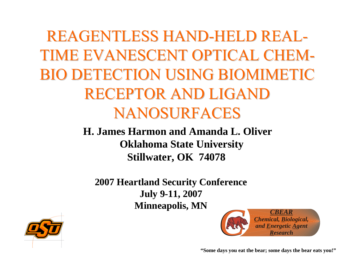REAGENTLESS HAND-HELD REAL TIME EVANESCENT OPTICAL CHEM BIO DETECTION USING BIOMIMETIC RECEPTOR AND LIGAND NANOSURFACES

> **H. James Harmon and Amanda L. OliverOklahoma State University Stillwater, OK 74078**

**2007 Heartland Security Conference July 9-11, 2007 Minneapolis, MN** *CBEAR*





**"Some da ys you eat the bear; some da ys the bear eats you!"**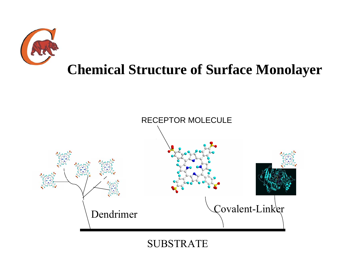

#### **Chemical Structure of Surface Monolayer**



SUBSTRATE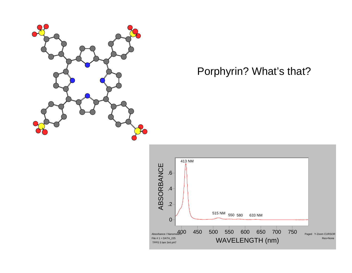

#### Porphyrin? What's that?

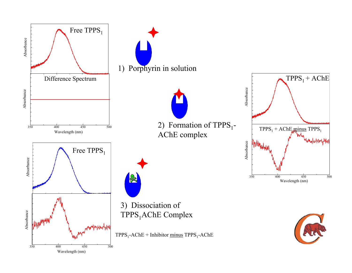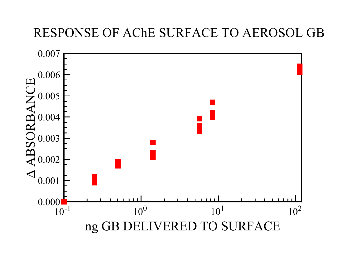#### RESPONSE OF AChE SURFACE TO AEROSOL GB

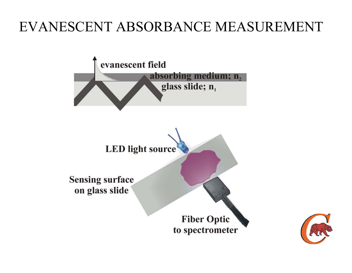#### EVANESCENT ABSORBANCE MEASUREMENT



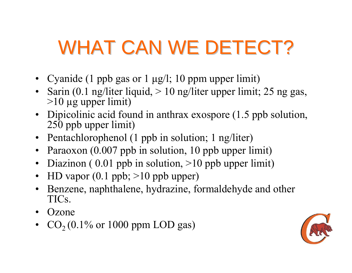# WHAT CAN WE DETECT?

- Cyanide (1 ppb gas or 1 μg/l; 10 ppm upper limit)
- Sarin (0.1 ng/liter liquid, > 10 ng/liter upper limit; 25 ng gas,  $>10 \mu$ g upper limit)
- Dipicolinic acid found in anthrax exospore (1.5 ppb solution, 250 ppb upper limit)
- Pentachlorophenol (1 ppb in solution; 1 ng/liter)
- Paraoxon (0.007 ppb in solution, 10 ppb upper limit)
- Diazinon (0.01 ppb in solution, >10 ppb upper limit)
- •HD vapor (0.1 ppb; >10 ppb upper)
- Benzene, naphthalene, hydrazine, formaldehyde and other TICs.
- •**Ozone**
- • $CO<sub>2</sub>(0.1%$  or 1000 ppm LOD gas)

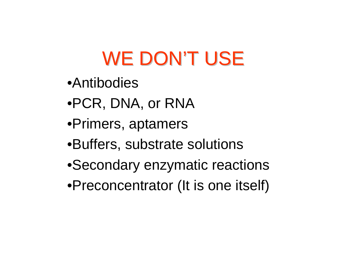## WE DON'T USE

- **•Antibodies**
- •PCR, DNA, or RNA
- •Primers, aptamers
- •Buffers, substrate solutions
- •Secondary enzymatic reactions
- •Preconcentrator (It is one itself)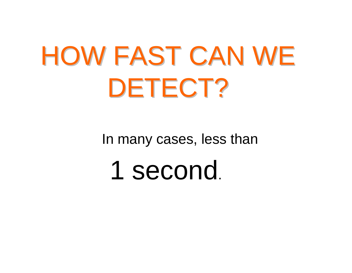# HOW FAST CAN WE DETECT?

In many cases, less than

1 second.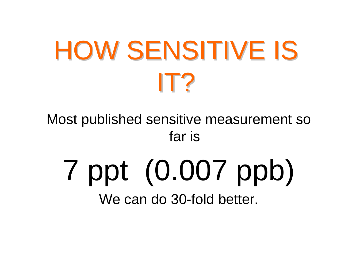# HOW SENSITIVE IS IT?

Most published sensitive measurement so far is

# 7 ppt (0.007 ppb) We can do 30-fold better.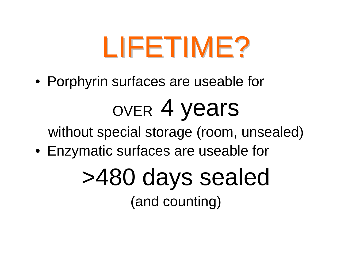# LIFETIME?

• Porphyrin surfaces are useable for

# over 4 years

without special storage (room, unsealed)

• Enzymatic surfaces are useable for

# >480 days sealed (and counting)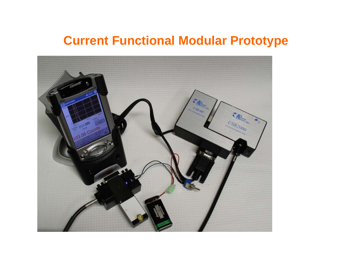#### **Current Functional Modular Prototype**

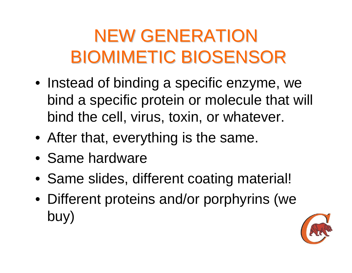### NEW GENERATION BIOMIMETIC BIOSENSOR BIOMIMETIC BIOSENSOR

- Instead of binding a specific enzyme, we bind a specific protein or molecule that will bind the cell, virus, toxin, or whatever.
- After that, everything is the same.
- Same hardware
- Same slides, different coating material!
- Different proteins and/or porphyrins (we buy)

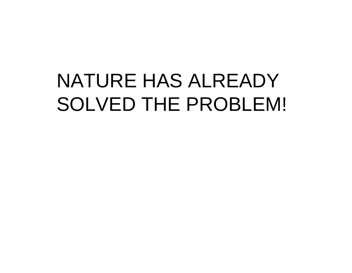## NATURE HAS ALREADY SOLVED THE PROBLEM!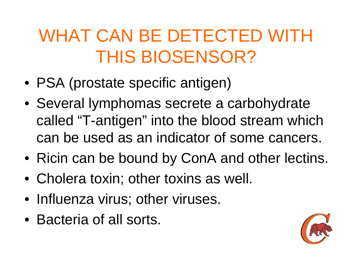### WHAT CAN BE DETECTED WITH THIS BIOSENSOR?

- PSA (prostate specific antigen)
- Several lymphomas secrete a carbohydrate called "T-antigen" into the blood stream which can be used as an indicator of some cancers.
- Ricin can be bound by ConA and other lectins.
- Cholera toxin; other toxins as well.
- Influenza virus; other viruses.
- Bacteria of all sorts.

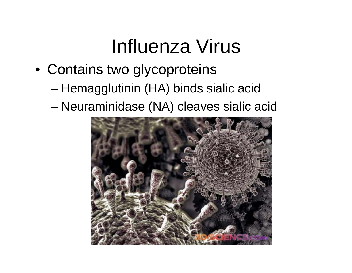### Influenza Virus

- Contains two glycoproteins
	- –Hemagglutinin (HA) binds sialic acid
	- and the state of the state Neuraminidase (NA) cleaves sialic acid

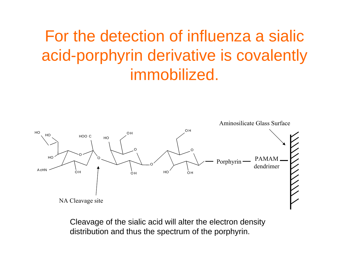### For the detection of influenza a sialic acid-porphyrin derivative is covalently immobilized.



Cleavage of the sialic acid will alter the electron density distribution and thus the spectrum of the porphyrin.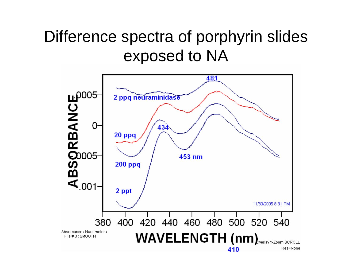#### Difference spectra of porphyrin slides exposed to NA

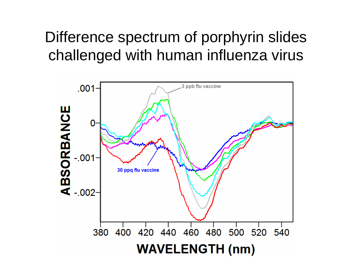#### Difference spectrum of porphyrin slides challenged with human influenza virus

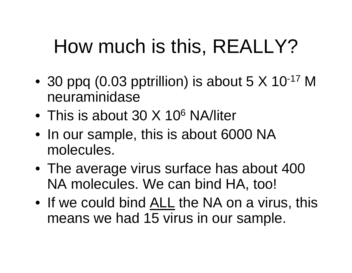# How much is this, REALLY?

- •30 ppq (0.03 pptrillion) is about  $5 \times 10^{-17}$  M neuraminidase
- This is about 30 X 10<sup>6</sup> NA/liter
- In our sample, this is about 6000 NA molecules.
- The average virus surface has about 400 NA molecules. We can bind HA, too!
- If we could bind ALL the NA on a virus, this means we had 15 virus in our sample.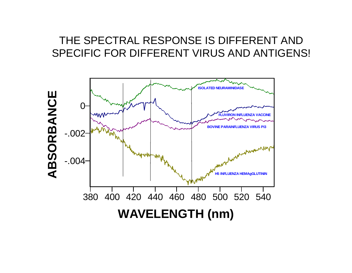#### THE SPECTRAL RESPONSE IS DIFFERENT AND SPECIFIC FOR DIFFERENT VIRUS AND ANTIGENS!

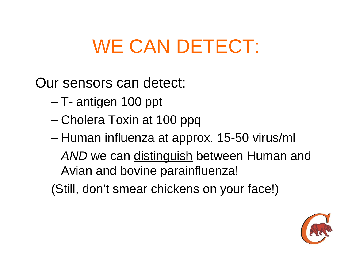## WE CAN DETECT:

Our sensors can detect:

- –T- antigen 100 ppt
- and the state of the state Cholera Toxin at 100 ppq
- and the state of the state Human influenza at approx. 15-50 virus/ml

*AND* we can distinguish between Human and Avian and bovine parainfluenza!

(Still, don't smear chickens on your face!)

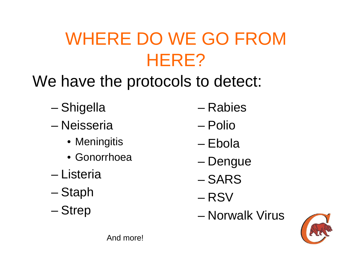### WHERE DO WE GO FROM HERE?

- We have the protocols to detect:
	- and the state of the state Shigella
	- Neisseria
		- Meningitis
		- Gonorrhoea
	- Listeria
	- and the state of the state Staph
	- –**Strep**
- Rabies
- Polio
- Ebola
- and the state of the state Dengue
- SARS
- RSV
- Norwalk Virus



And more!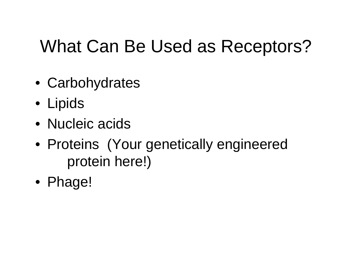### What Can Be Used as Receptors?

- Carbohydrates
- Lipids
- Nucleic acids
- Proteins (Your genetically engineered protein here!)
- Phage!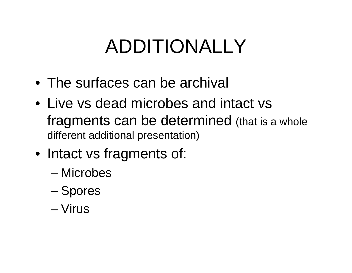# ADDITIONALLY

- The surfaces can be archival
- Live vs dead microbes and intact vsfragments can be determined (that is a whole different additional presentation)
- Intact vs fragments of:
	- Microbes
	- –Spores
	- Virus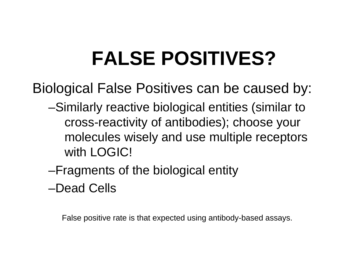# **FALSE POSITIVES?**

Biological False Positives can be caused by:

- –Similarly reactive biological entities (similar to cross-reactivity of antibodies); choose your molecules wisely and use multiple receptors with LOGIC!
- –Fragments of the biological entity

–Dead Cells

False positive rate is that expected using antibody-based assays.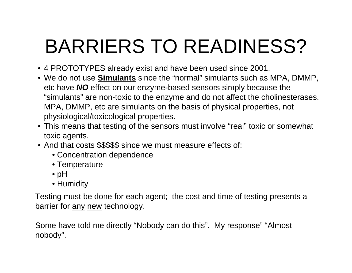# BARRIERS TO READINESS?

- 4 PROTOTYPES already exist and have been used since 2001.
- We do not use **Simulants** since the "normal" simulants such as MPA, DMMP, etc have *NO* effect on our enzyme-based sensors simply because the "simulants" are non-toxic to the enzyme and do not affect the cholinesterases. MPA, DMMP, etc are simulants on the basis of physical properties, not physiological/toxicological properties.
- This means that testing of the sensors must involve "real" toxic or somewhat toxic agents.
- And that costs \$\$\$\$\$ since we must measure effects of:
	- Concentration dependence
	- Temperature
	- pH
	- Humidity

Testing must be done for each agent; the cost and time of testing presents a barrier for any new technology.

Some have told me directly "Nobody can do this". My response" "Almost nobody".